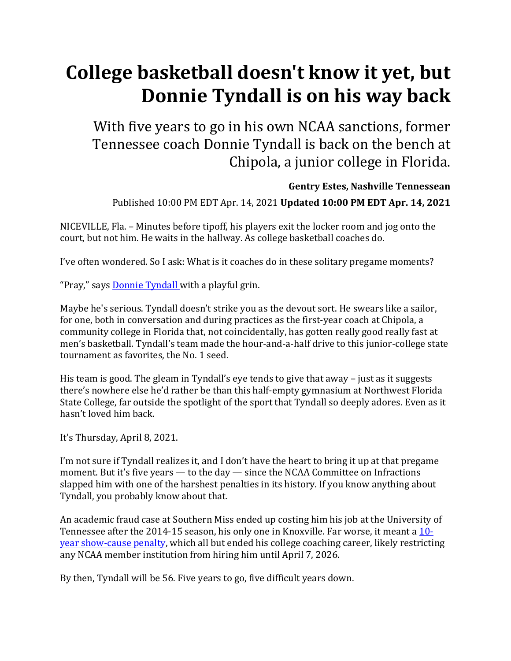# **College basketball doesn't know it yet, but Donnie Tyndall is on his way back**

With five years to go in his own NCAA sanctions, former Tennessee coach Donnie Tyndall is back on the bench at Chipola, a junior college in Florida.

#### **Gentry Estes, Nashville Tennessean**

Published 10:00 PM EDT Apr. 14, 2021 **Updated 10:00 PM EDT Apr. 14, 2021**

NICEVILLE, Fla. – Minutes before tipoff, his players exit the locker room and jog onto the court, but not him. He waits in the hallway. As college basketball coaches do.

I've often wondered. So I ask: What is it coaches do in these solitary pregame moments?

"Pray," says **[Donnie Tyndall](https://chipolaathletics.com/landing/Donnie_Tyndall_Named_as_Mens_Basketball_Coach)** with a playful grin.

Maybe he's serious. Tyndall doesn't strike you as the devout sort. He swears like a sailor, for one, both in conversation and during practices as the first-year coach at Chipola, a community college in Florida that, not coincidentally, has gotten really good really fast at men's basketball. Tyndall's team made the hour-and-a-half drive to this junior-college state tournament as favorites, the No. 1 seed.

His team is good. The gleam in Tyndall's eye tends to give that away – just as it suggests there's nowhere else he'd rather be than this half-empty gymnasium at Northwest Florida State College, far outside the spotlight of the sport that Tyndall so deeply adores. Even as it hasn't loved him back.

It's Thursday, April 8, 2021.

I'm not sure if Tyndall realizes it, and I don't have the heart to bring it up at that pregame moment. But it's five years — to the day — since the NCAA Committee on Infractions slapped him with one of the harshest penalties in its history. If you know anything about Tyndall, you probably know about that.

An academic fraud case at Southern Miss ended up costing him his job at the University of Tennessee after the 2014-15 season, his only one in Knoxville. Far worse, it meant a [10](https://www.knoxnews.com/story/sports/college/university-of-tennessee/mens-basketball/2016/04/08/ncaa-hits-exvol-coach-tyndall-with-10year-penalty/90896678/) [year show-cause penalty,](https://www.knoxnews.com/story/sports/college/university-of-tennessee/mens-basketball/2016/04/08/ncaa-hits-exvol-coach-tyndall-with-10year-penalty/90896678/) which all but ended his college coaching career, likely restricting any NCAA member institution from hiring him until April 7, 2026.

By then, Tyndall will be 56. Five years to go, five difficult years down.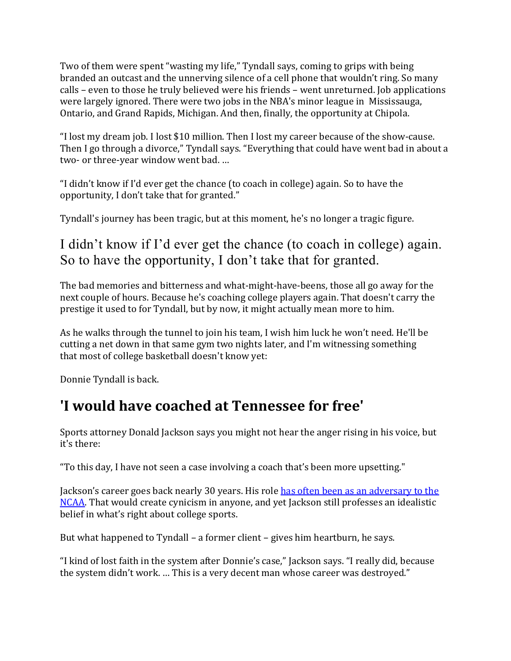Two of them were spent "wasting my life," Tyndall says, coming to grips with being branded an outcast and the unnerving silence of a cell phone that wouldn't ring. So many calls – even to those he truly believed were his friends – went unreturned. Job applications were largely ignored. There were two jobs in the NBA's minor league in Mississauga, Ontario, and Grand Rapids, Michigan. And then, finally, the opportunity at Chipola.

"I lost my dream job. I lost \$10 million. Then I lost my career because of the show-cause. Then I go through a divorce," Tyndall says. "Everything that could have went bad in about a two- or three-year window went bad. …

"I didn't know if I'd ever get the chance (to coach in college) again. So to have the opportunity, I don't take that for granted."

Tyndall's journey has been tragic, but at this moment, he's no longer a tragic figure.

#### I didn't know if I'd ever get the chance (to coach in college) again. So to have the opportunity, I don't take that for granted.

The bad memories and bitterness and what-might-have-beens, those all go away for the next couple of hours. Because he's coaching college players again. That doesn't carry the prestige it used to for Tyndall, but by now, it might actually mean more to him.

As he walks through the tunnel to join his team, I wish him luck he won't need. He'll be cutting a net down in that same gym two nights later, and I'm witnessing something that most of college basketball doesn't know yet:

Donnie Tyndall is back.

### **'I would have coached at Tennessee for free'**

Sports attorney Donald Jackson says you might not hear the anger rising in his voice, but it's there:

"To this day, I have not seen a case involving a coach that's been more upsetting."

Jackson's career goes back nearly 30 years. His role has often been as an adversary to the [NCAA.](https://www.montgomeryadvertiser.com/story/sports/2020/03/06/montgomery-sports-attorney-donald-jackson-welcomes-fight-with-ncaa-the-sports-group/4827340002/) That would create cynicism in anyone, and yet Jackson still professes an idealistic belief in what's right about college sports.

But what happened to Tyndall – a former client – gives him heartburn, he says.

"I kind of lost faith in the system after Donnie's case," Jackson says. "I really did, because the system didn't work. … This is a very decent man whose career was destroyed."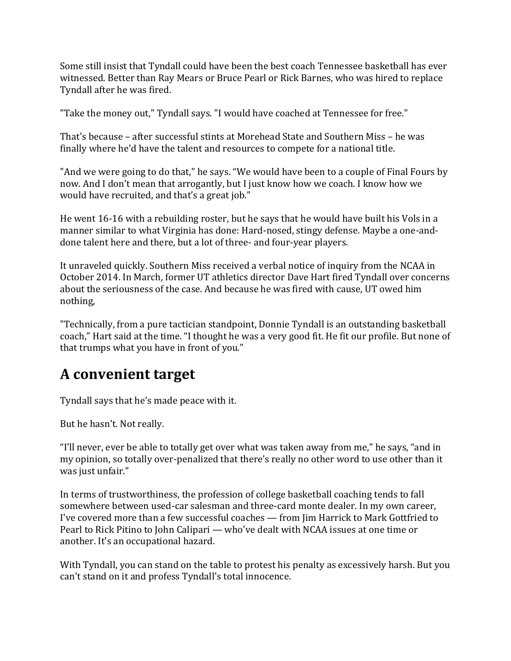Some still insist that Tyndall could have been the best coach Tennessee basketball has ever witnessed. Better than Ray Mears or Bruce Pearl or Rick Barnes, who was hired to replace Tyndall after he was fired.

"Take the money out," Tyndall says. "I would have coached at Tennessee for free."

That's because – after successful stints at Morehead State and Southern Miss – he was finally where he'd have the talent and resources to compete for a national title.

"And we were going to do that," he says. "We would have been to a couple of Final Fours by now. And I don't mean that arrogantly, but I just know how we coach. I know how we would have recruited, and that's a great job."

He went 16-16 with a rebuilding roster, but he says that he would have built his Vols in a manner similar to what Virginia has done: Hard-nosed, stingy defense. Maybe a one-anddone talent here and there, but a lot of three- and four-year players.

It unraveled quickly. Southern Miss received a verbal notice of inquiry from the NCAA in October 2014. In March, former UT athletics director Dave Hart fired Tyndall over concerns about the seriousness of the case. And because he was fired with cause, UT owed him nothing,

"Technically, from a pure tactician standpoint, Donnie Tyndall is an outstanding basketball coach," Hart said at the time. "I thought he was a very good fit. He fit our profile. But none of that trumps what you have in front of you."

#### **A convenient target**

Tyndall says that he's made peace with it.

But he hasn't. Not really.

"I'll never, ever be able to totally get over what was taken away from me," he says, "and in my opinion, so totally over-penalized that there's really no other word to use other than it was just unfair."

In terms of trustworthiness, the profession of college basketball coaching tends to fall somewhere between used-car salesman and three-card monte dealer. In my own career, I've covered more than a few successful coaches — from Jim Harrick to Mark Gottfried to Pearl to Rick Pitino to John Calipari — who've dealt with NCAA issues at one time or another. It's an occupational hazard.

With Tyndall, you can stand on the table to protest his penalty as excessively harsh. But you can't stand on it and profess Tyndall's total innocence.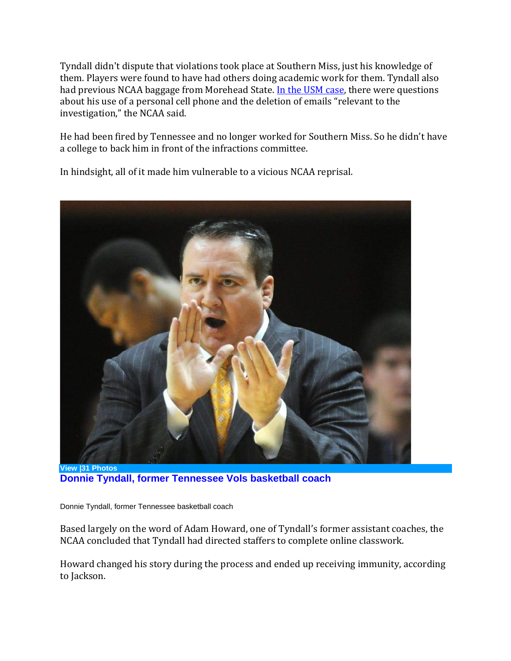Tyndall didn't dispute that violations took place at Southern Miss, just his knowledge of them. Players were found to have had others doing academic work for them. Tyndall also had previous NCAA baggage from Morehead State. [In the USM case,](https://www.clarionledger.com/story/sports/college/southern-miss/2016/04/08/report-tyndall-hit-hard-usms-case-ncaa/82789868/) there were questions about his use of a personal cell phone and the deletion of emails "relevant to the investigation," the NCAA said.

He had been fired by Tennessee and no longer worked for Southern Miss. So he didn't have a college to back him in front of the infractions committee.

In hindsight, all of it made him vulnerable to a vicious NCAA reprisal.



**[Donnie Tyndall, former Tennessee Vols basketball coach](https://www.tennessean.com/picture-gallery/sports/college/university-of-tennessee/mens-basketball/2019/07/29/donnie-tyndall-former-tennessee-basketball-coach/1861484001/)**

Donnie Tyndall, former Tennessee basketball coach

Based largely on the word of Adam Howard, one of Tyndall's former assistant coaches, the NCAA concluded that Tyndall had directed staffers to complete online classwork.

Howard changed his story during the process and ended up receiving immunity, according to Jackson.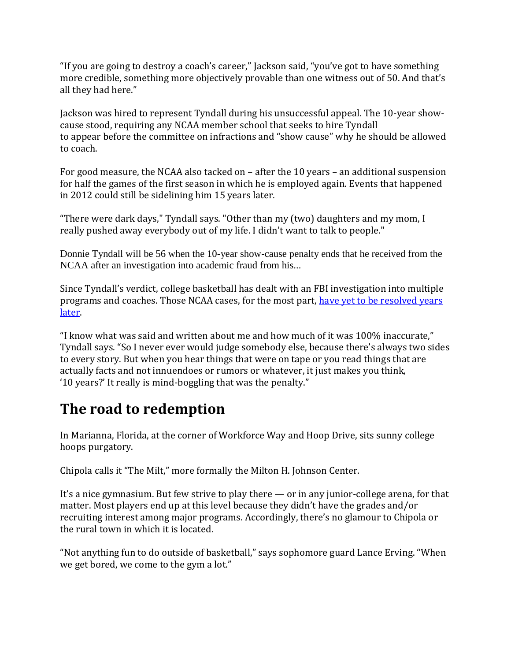"If you are going to destroy a coach's career," Jackson said, "you've got to have something more credible, something more objectively provable than one witness out of 50. And that's all they had here."

Jackson was hired to represent Tyndall during his unsuccessful appeal. The 10-year showcause stood, requiring any NCAA member school that seeks to hire Tyndall to appear before the committee on infractions and "show cause" why he should be allowed to coach.

For good measure, the NCAA also tacked on – after the 10 years – an additional suspension for half the games of the first season in which he is employed again. Events that happened in 2012 could still be sidelining him 15 years later.

"There were dark days," Tyndall says. "Other than my (two) daughters and my mom, I really pushed away everybody out of my life. I didn't want to talk to people."

Donnie Tyndall will be 56 when the 10-year show-cause penalty ends that he received from the NCAA after an investigation into academic fraud from his...

Since Tyndall's verdict, college basketball has dealt with an FBI investigation into multiple programs and coaches. Those NCAA cases, for the most part, [have yet to be resolved years](https://www.tennessean.com/story/sports/college/2021/04/02/charles-barkley-sec-commissioner-greg-sankey-college-basketball-scandal/4674203001/)  [later.](https://www.tennessean.com/story/sports/college/2021/04/02/charles-barkley-sec-commissioner-greg-sankey-college-basketball-scandal/4674203001/)

"I know what was said and written about me and how much of it was 100% inaccurate," Tyndall says. "So I never ever would judge somebody else, because there's always two sides to every story. But when you hear things that were on tape or you read things that are actually facts and not innuendoes or rumors or whatever, it just makes you think, '10 years?' It really is mind-boggling that was the penalty."

## **The road to redemption**

In Marianna, Florida, at the corner of Workforce Way and Hoop Drive, sits sunny college hoops purgatory.

Chipola calls it "The Milt," more formally the Milton H. Johnson Center.

It's a nice gymnasium. But few strive to play there — or in any junior-college arena, for that matter. Most players end up at this level because they didn't have the grades and/or recruiting interest among major programs. Accordingly, there's no glamour to Chipola or the rural town in which it is located.

"Not anything fun to do outside of basketball," says sophomore guard Lance Erving. "When we get bored, we come to the gym a lot."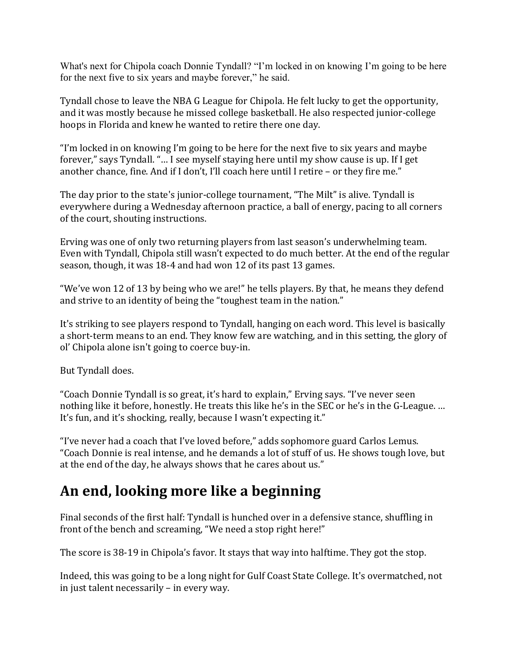What's next for Chipola coach Donnie Tyndall? "I'm locked in on knowing I'm going to be here for the next five to six years and maybe forever," he said.

Tyndall chose to leave the NBA G League for Chipola. He felt lucky to get the opportunity, and it was mostly because he missed college basketball. He also respected junior-college hoops in Florida and knew he wanted to retire there one day.

"I'm locked in on knowing I'm going to be here for the next five to six years and maybe forever," says Tyndall. "… I see myself staying here until my show cause is up. If I get another chance, fine. And if I don't, I'll coach here until I retire – or they fire me."

The day prior to the state's junior-college tournament, "The Milt" is alive. Tyndall is everywhere during a Wednesday afternoon practice, a ball of energy, pacing to all corners of the court, shouting instructions.

Erving was one of only two returning players from last season's underwhelming team. Even with Tyndall, Chipola still wasn't expected to do much better. At the end of the regular season, though, it was 18-4 and had won 12 of its past 13 games.

"We've won 12 of 13 by being who we are!" he tells players. By that, he means they defend and strive to an identity of being the "toughest team in the nation."

It's striking to see players respond to Tyndall, hanging on each word. This level is basically a short-term means to an end. They know few are watching, and in this setting, the glory of ol' Chipola alone isn't going to coerce buy-in.

But Tyndall does.

"Coach Donnie Tyndall is so great, it's hard to explain," Erving says. "I've never seen nothing like it before, honestly. He treats this like he's in the SEC or he's in the G-League. … It's fun, and it's shocking, really, because I wasn't expecting it."

"I've never had a coach that I've loved before," adds sophomore guard Carlos Lemus. "Coach Donnie is real intense, and he demands a lot of stuff of us. He shows tough love, but at the end of the day, he always shows that he cares about us."

### **An end, looking more like a beginning**

Final seconds of the first half: Tyndall is hunched over in a defensive stance, shuffling in front of the bench and screaming, "We need a stop right here!"

The score is 38-19 in Chipola's favor. It stays that way into halftime. They got the stop.

Indeed, this was going to be a long night for Gulf Coast State College. It's overmatched, not in just talent necessarily – in every way.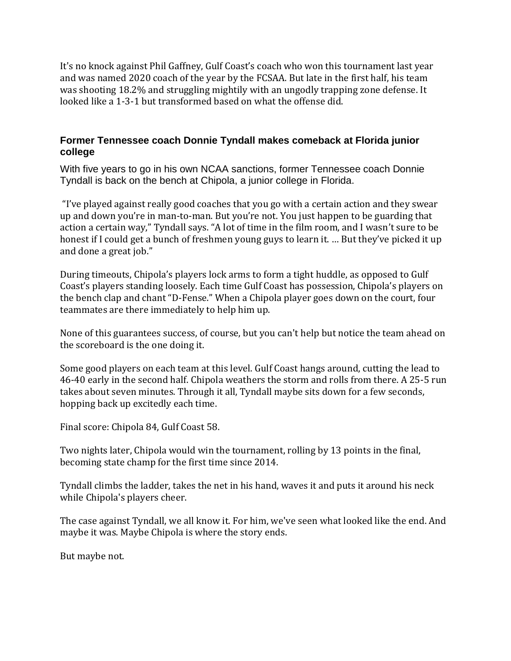It's no knock against Phil Gaffney, Gulf Coast's coach who won this tournament last year and was named 2020 coach of the year by the FCSAA. But late in the first half, his team was shooting 18.2% and struggling mightily with an ungodly trapping zone defense. It looked like a 1-3-1 but transformed based on what the offense did.

#### **Former Tennessee coach Donnie Tyndall makes comeback at Florida junior college**

With five years to go in his own NCAA sanctions, former Tennessee coach Donnie Tyndall is back on the bench at Chipola, a junior college in Florida.

"I've played against really good coaches that you go with a certain action and they swear up and down you're in man-to-man. But you're not. You just happen to be guarding that action a certain way," Tyndall says. "A lot of time in the film room, and I wasn't sure to be honest if I could get a bunch of freshmen young guys to learn it. … But they've picked it up and done a great job."

During timeouts, Chipola's players lock arms to form a tight huddle, as opposed to Gulf Coast's players standing loosely. Each time Gulf Coast has possession, Chipola's players on the bench clap and chant "D-Fense." When a Chipola player goes down on the court, four teammates are there immediately to help him up.

None of this guarantees success, of course, but you can't help but notice the team ahead on the scoreboard is the one doing it.

Some good players on each team at this level. Gulf Coast hangs around, cutting the lead to 46-40 early in the second half. Chipola weathers the storm and rolls from there. A 25-5 run takes about seven minutes. Through it all, Tyndall maybe sits down for a few seconds, hopping back up excitedly each time.

Final score: Chipola 84, Gulf Coast 58.

Two nights later, Chipola would win the tournament, rolling by 13 points in the final, becoming state champ for the first time since 2014.

Tyndall climbs the ladder, takes the net in his hand, waves it and puts it around his neck while Chipola's players cheer.

The case against Tyndall, we all know it. For him, we've seen what looked like the end. And maybe it was. Maybe Chipola is where the story ends.

But maybe not.